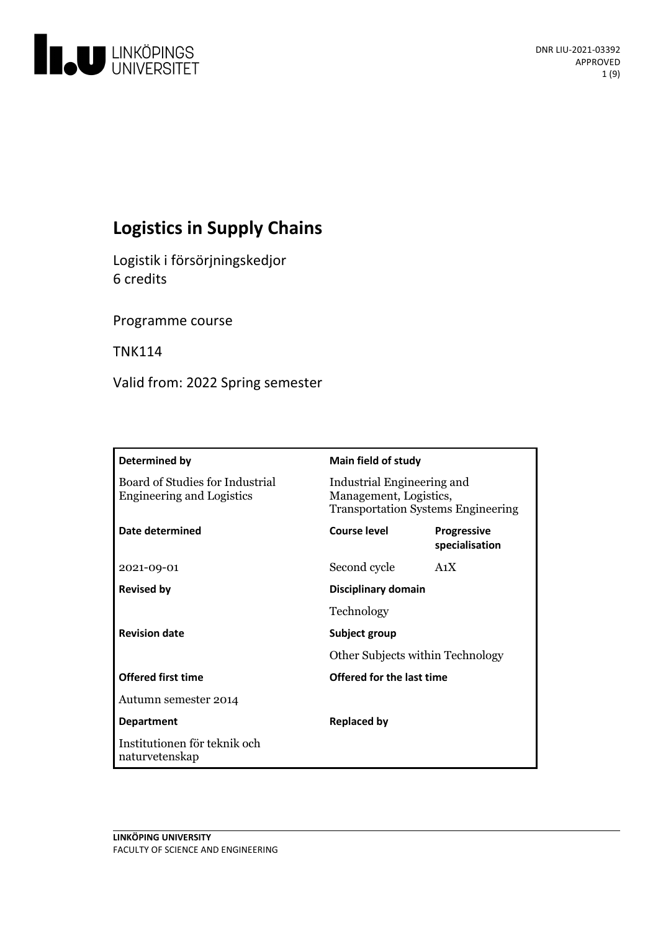

# **Logistics in Supply Chains**

Logistik i försörjningskedjor 6 credits

Programme course

TNK114

Valid from: 2022 Spring semester

| Determined by                                                       | <b>Main field of study</b>                                                                        |                                      |
|---------------------------------------------------------------------|---------------------------------------------------------------------------------------------------|--------------------------------------|
| Board of Studies for Industrial<br><b>Engineering and Logistics</b> | Industrial Engineering and<br>Management, Logistics,<br><b>Transportation Systems Engineering</b> |                                      |
| Date determined                                                     | Course level                                                                                      | <b>Progressive</b><br>specialisation |
| 2021-09-01                                                          | Second cycle                                                                                      | A <sub>1</sub> X                     |
| <b>Revised by</b>                                                   | Disciplinary domain                                                                               |                                      |
|                                                                     | Technology                                                                                        |                                      |
| <b>Revision date</b>                                                | Subject group<br>Other Subjects within Technology                                                 |                                      |
|                                                                     |                                                                                                   |                                      |
| <b>Offered first time</b>                                           | Offered for the last time                                                                         |                                      |
| Autumn semester 2014                                                |                                                                                                   |                                      |
| <b>Department</b>                                                   | <b>Replaced by</b>                                                                                |                                      |
| Institutionen för teknik och<br>naturvetenskap                      |                                                                                                   |                                      |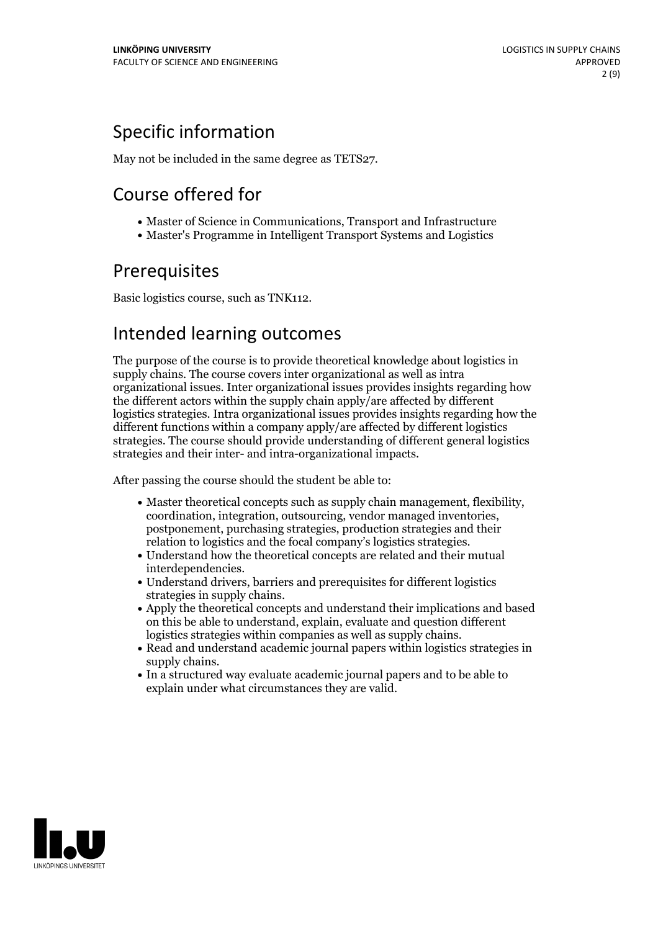## Specific information

May not be included in the same degree as TETS27.

## Course offered for

- Master of Science in Communications, Transport and Infrastructure
- Master's Programme in Intelligent Transport Systems and Logistics

## Prerequisites

Basic logistics course, such as TNK112.

## Intended learning outcomes

The purpose of the course is to provide theoretical knowledge about logistics in supply chains. The course covers inter organizational as well as intra organizational issues. Inter organizational issues provides insights regarding how the different actors within the supply chain apply/are affected by different logistics strategies. Intra organizational issues provides insights regarding how the different functions within a company apply/are affected by different logistics strategies. The course should provide understanding of different general logistics strategies and their inter- and intra-organizational impacts.

After passing the course should the student be able to:

- Master theoretical concepts such as supply chain management, flexibility, coordination, integration, outsourcing, vendor managed inventories, postponement, purchasing strategies, production strategies and their
- relation to logistics and the focal company's logistics strategies. Understand how the theoretical concepts are related and their mutual
- interdependencies.<br>• Understand drivers, barriers and prerequisites for different logistics
- strategies in supply chains.<br>• Apply the theoretical concepts and understand their implications and based on this be able to understand, explain, evaluate and question different
- logistics strategies within companies as well as supply chains.<br>• Read and understand academic journal papers within logistics strategies in supply chains.<br>• In a structured way evaluate academic journal papers and to be able to
- explain under what circumstances they are valid.

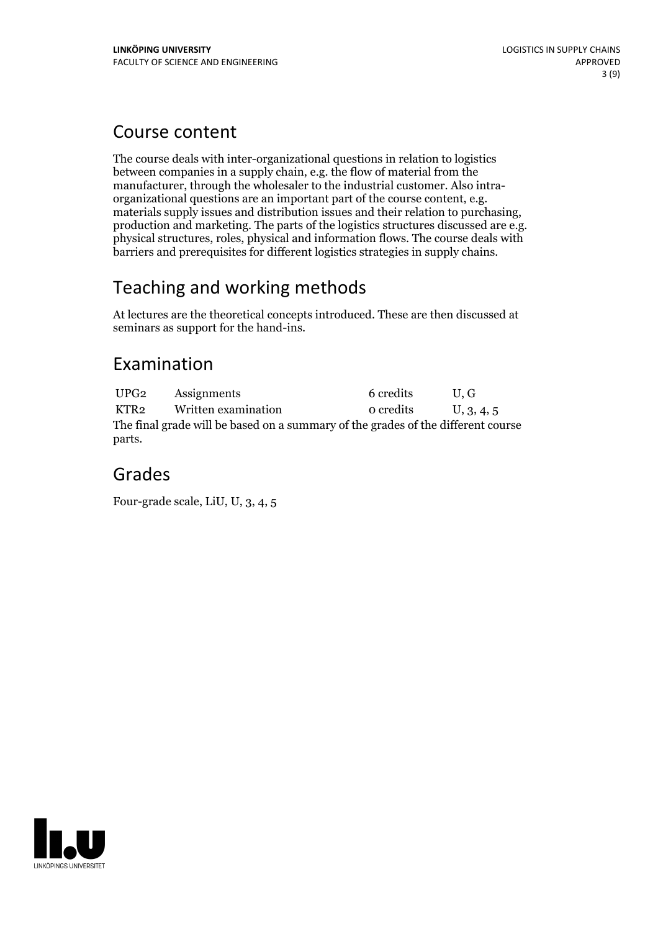## Course content

The course deals with inter-organizational questions in relation to logistics between companies in a supply chain, e.g. the flow of material from the manufacturer, through the wholesaler to the industrial customer. Also intra-<br>organizational questions are an important part of the course content, e.g.<br>materials supply issues and distribution issues and their relation to barriers and prerequisites for different logistics strategies in supply chains.

## Teaching and working methods

At lectures are the theoretical concepts introduced. These are then discussed at seminars as support for the hand-ins.

## Examination

UPG2 Assignments 6 credits U, G KTR2 Written examination 0 credits  $U$ , 3, 4, 5 The final grade will be based on a summary of the grades of the different course parts.

## Grades

Four-grade scale, LiU, U, 3, 4, 5

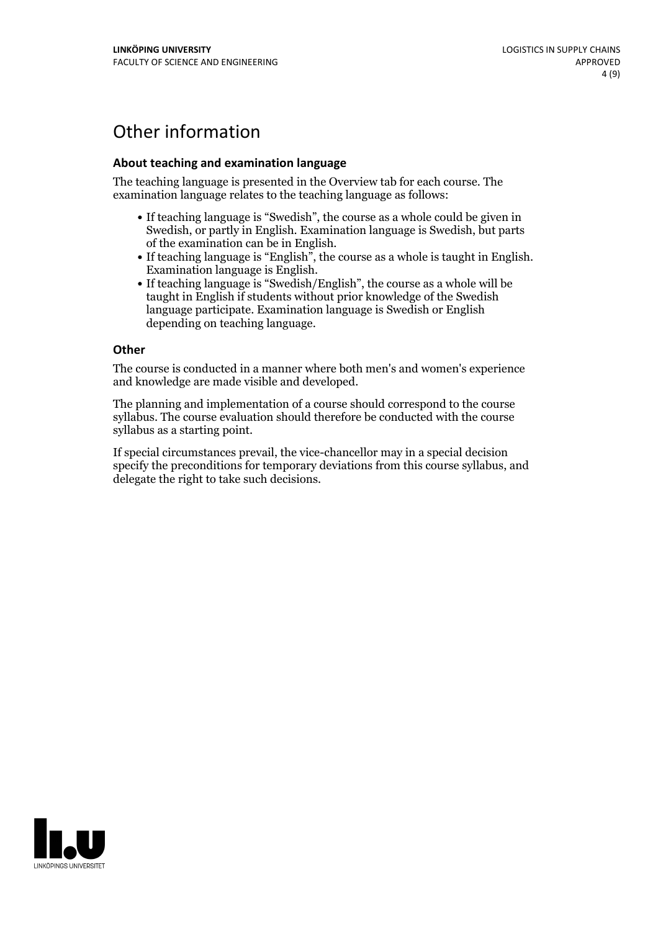## Other information

### **About teaching and examination language**

The teaching language is presented in the Overview tab for each course. The examination language relates to the teaching language as follows:

- If teaching language is "Swedish", the course as a whole could be given in Swedish, or partly in English. Examination language is Swedish, but parts
- of the examination can be in English. If teaching language is "English", the course as <sup>a</sup> whole is taught in English. Examination language is English. If teaching language is "Swedish/English", the course as <sup>a</sup> whole will be
- taught in English if students without prior knowledge of the Swedish language participate. Examination language is Swedish or English depending on teaching language.

#### **Other**

The course is conducted in a manner where both men's and women's experience and knowledge are made visible and developed.

The planning and implementation of a course should correspond to the course syllabus. The course evaluation should therefore be conducted with the course syllabus as a starting point.

If special circumstances prevail, the vice-chancellor may in a special decision specify the preconditions for temporary deviations from this course syllabus, and delegate the right to take such decisions.

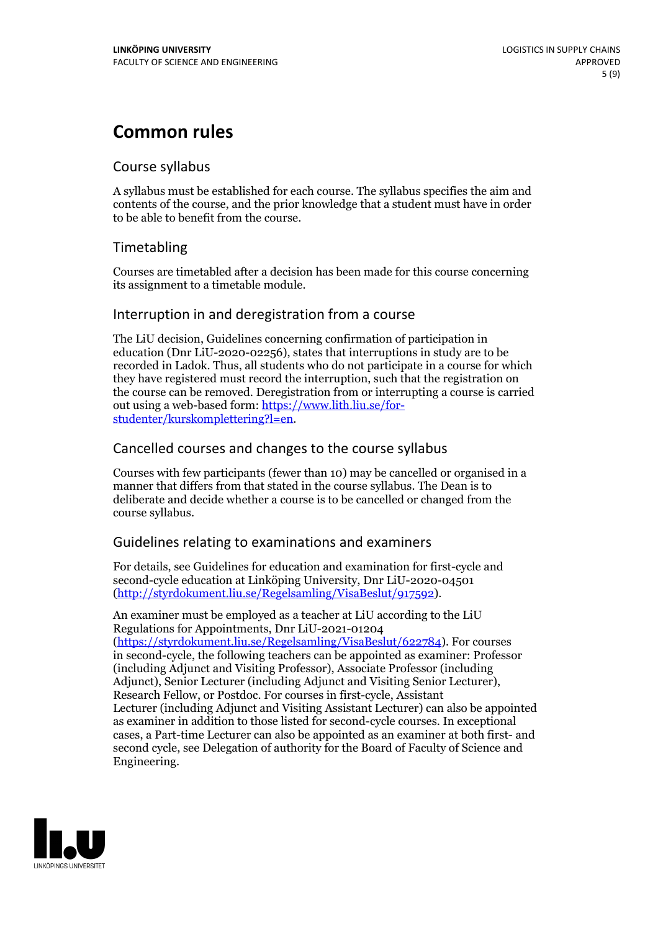## **Common rules**

### Course syllabus

A syllabus must be established for each course. The syllabus specifies the aim and contents of the course, and the prior knowledge that a student must have in order to be able to benefit from the course.

## Timetabling

Courses are timetabled after a decision has been made for this course concerning its assignment to a timetable module.

### Interruption in and deregistration from a course

The LiU decision, Guidelines concerning confirmation of participation in education (Dnr LiU-2020-02256), states that interruptions in study are to be recorded in Ladok. Thus, all students who do not participate in a course for which they have registered must record the interruption, such that the registration on the course can be removed. Deregistration from or interrupting a course is carried out using <sup>a</sup> web-based form: https://www.lith.liu.se/for- [studenter/kurskomplettering?l=en.](https://www.lith.liu.se/for-studenter/kurskomplettering?l=en)

## Cancelled courses and changes to the course syllabus

Courses with few participants (fewer than 10) may be cancelled or organised in a manner that differs from that stated in the course syllabus. The Dean is to deliberate and decide whether a course is to be cancelled or changed from the course syllabus.

## Guidelines relating to examinations and examiners

For details, see Guidelines for education and examination for first-cycle and second-cycle education at Linköping University, Dnr LiU-2020-04501 [\(http://styrdokument.liu.se/Regelsamling/VisaBeslut/917592\)](http://styrdokument.liu.se/Regelsamling/VisaBeslut/917592).

An examiner must be employed as a teacher at LiU according to the LiU Regulations for Appointments, Dnr LiU-2021-01204 [\(https://styrdokument.liu.se/Regelsamling/VisaBeslut/622784](https://styrdokument.liu.se/Regelsamling/VisaBeslut/622784)). For courses in second-cycle, the following teachers can be appointed as examiner: Professor (including Adjunct and Visiting Professor), Associate Professor (including Adjunct), Senior Lecturer (including Adjunct and Visiting Senior Lecturer), Research Fellow, or Postdoc. For courses in first-cycle, Assistant Lecturer (including Adjunct and Visiting Assistant Lecturer) can also be appointed as examiner in addition to those listed for second-cycle courses. In exceptional cases, a Part-time Lecturer can also be appointed as an examiner at both first- and second cycle, see Delegation of authority for the Board of Faculty of Science and Engineering.

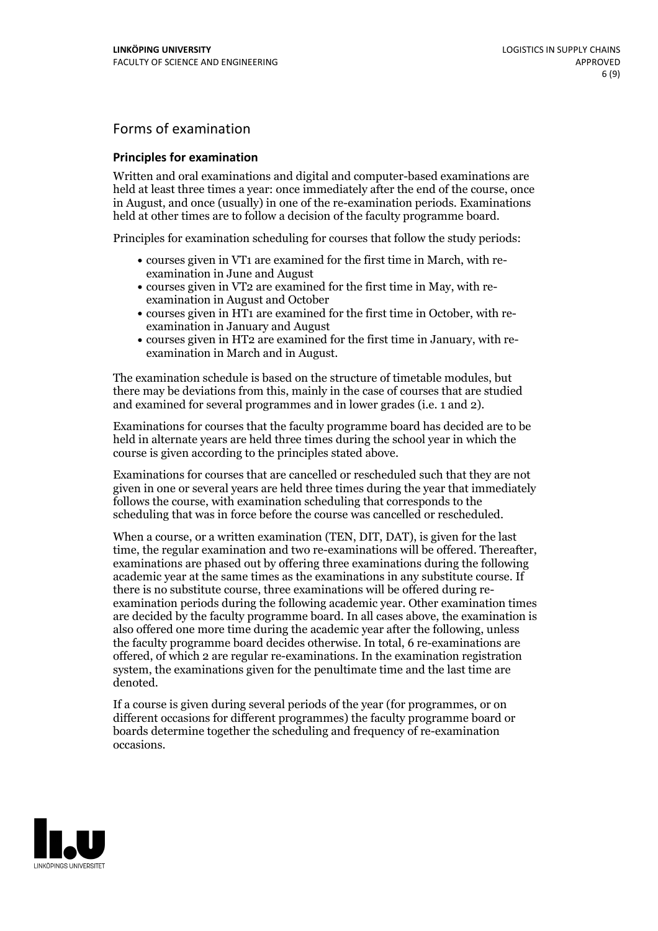## Forms of examination

### **Principles for examination**

Written and oral examinations and digital and computer-based examinations are held at least three times a year: once immediately after the end of the course, once in August, and once (usually) in one of the re-examination periods. Examinations held at other times are to follow a decision of the faculty programme board.

Principles for examination scheduling for courses that follow the study periods:

- courses given in VT1 are examined for the first time in March, with re-examination in June and August
- courses given in VT2 are examined for the first time in May, with re-examination in August and October
- courses given in HT1 are examined for the first time in October, with re-examination in January and August
- courses given in HT2 are examined for the first time in January, with re-examination in March and in August.

The examination schedule is based on the structure of timetable modules, but there may be deviations from this, mainly in the case of courses that are studied and examined for several programmes and in lower grades (i.e. 1 and 2).

Examinations for courses that the faculty programme board has decided are to be held in alternate years are held three times during the school year in which the course is given according to the principles stated above.

Examinations for courses that are cancelled orrescheduled such that they are not given in one or several years are held three times during the year that immediately follows the course, with examination scheduling that corresponds to the scheduling that was in force before the course was cancelled or rescheduled.

When a course, or a written examination (TEN, DIT, DAT), is given for the last time, the regular examination and two re-examinations will be offered. Thereafter, examinations are phased out by offering three examinations during the following academic year at the same times as the examinations in any substitute course. If there is no substitute course, three examinations will be offered during re- examination periods during the following academic year. Other examination times are decided by the faculty programme board. In all cases above, the examination is also offered one more time during the academic year after the following, unless the faculty programme board decides otherwise. In total, 6 re-examinations are offered, of which 2 are regular re-examinations. In the examination registration system, the examinations given for the penultimate time and the last time are denoted.

If a course is given during several periods of the year (for programmes, or on different occasions for different programmes) the faculty programme board or boards determine together the scheduling and frequency of re-examination occasions.

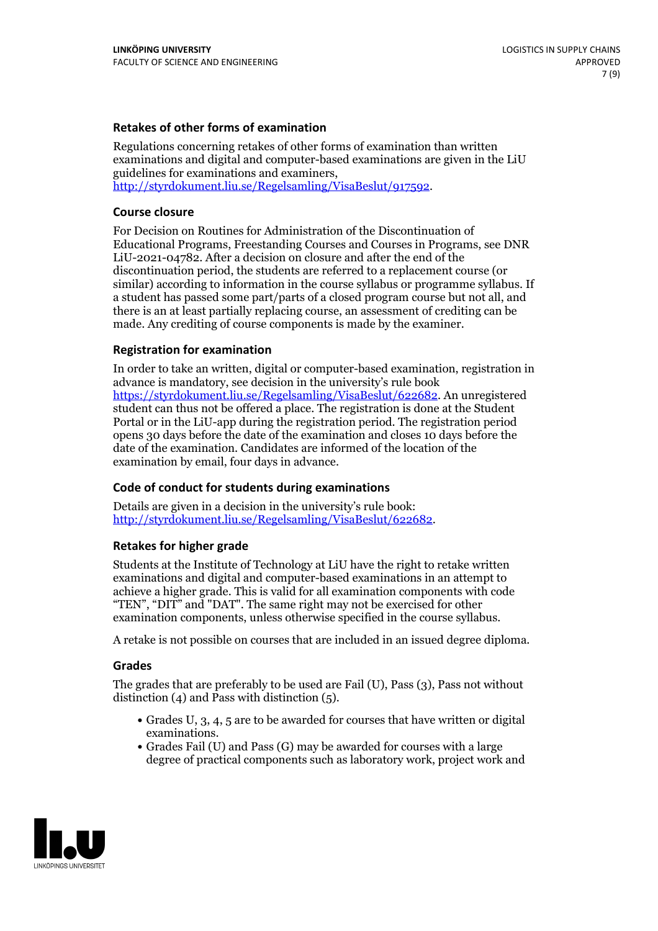### **Retakes of other forms of examination**

Regulations concerning retakes of other forms of examination than written examinations and digital and computer-based examinations are given in the LiU guidelines for examinations and examiners, [http://styrdokument.liu.se/Regelsamling/VisaBeslut/917592.](http://styrdokument.liu.se/Regelsamling/VisaBeslut/917592)

#### **Course closure**

For Decision on Routines for Administration of the Discontinuation of Educational Programs, Freestanding Courses and Courses in Programs, see DNR LiU-2021-04782. After a decision on closure and after the end of the discontinuation period, the students are referred to a replacement course (or similar) according to information in the course syllabus or programme syllabus. If a student has passed some part/parts of a closed program course but not all, and there is an at least partially replacing course, an assessment of crediting can be made. Any crediting of course components is made by the examiner.

### **Registration for examination**

In order to take an written, digital or computer-based examination, registration in advance is mandatory, see decision in the university's rule book [https://styrdokument.liu.se/Regelsamling/VisaBeslut/622682.](https://styrdokument.liu.se/Regelsamling/VisaBeslut/622682) An unregistered student can thus not be offered a place. The registration is done at the Student Portal or in the LiU-app during the registration period. The registration period opens 30 days before the date of the examination and closes 10 days before the date of the examination. Candidates are informed of the location of the examination by email, four days in advance.

### **Code of conduct for students during examinations**

Details are given in a decision in the university's rule book: <http://styrdokument.liu.se/Regelsamling/VisaBeslut/622682>.

#### **Retakes for higher grade**

Students at the Institute of Technology at LiU have the right to retake written examinations and digital and computer-based examinations in an attempt to achieve a higher grade. This is valid for all examination components with code "TEN", "DIT" and "DAT". The same right may not be exercised for other examination components, unless otherwise specified in the course syllabus.

A retake is not possible on courses that are included in an issued degree diploma.

#### **Grades**

The grades that are preferably to be used are Fail (U), Pass (3), Pass not without distinction  $(4)$  and Pass with distinction  $(5)$ .

- Grades U, 3, 4, 5 are to be awarded for courses that have written or digital examinations.<br>• Grades Fail (U) and Pass (G) may be awarded for courses with a large
- degree of practical components such as laboratory work, project work and

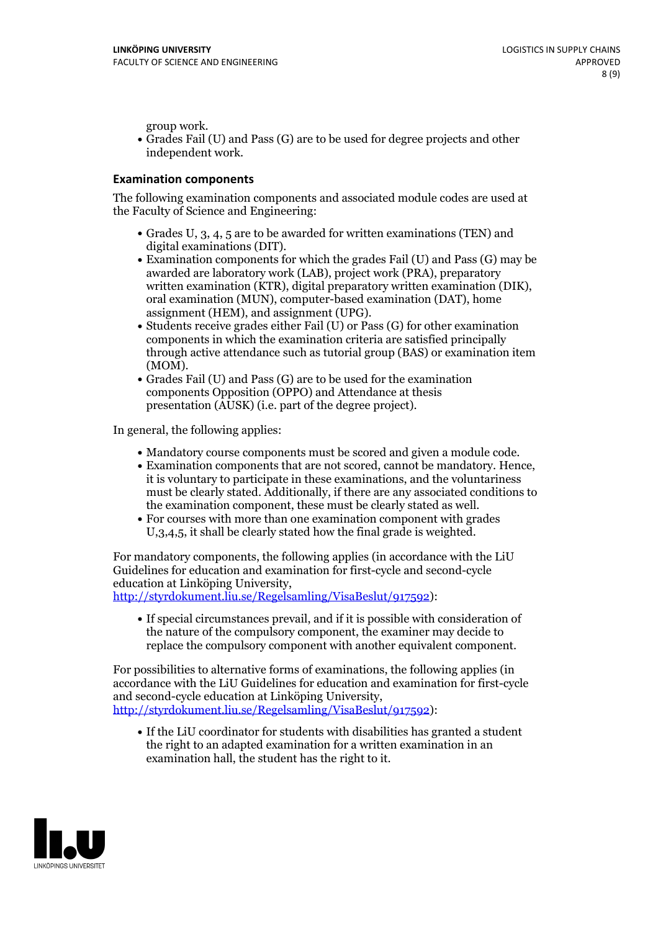group work.<br>• Grades Fail (U) and Pass (G) are to be used for degree projects and other independent work.

#### **Examination components**

The following examination components and associated module codes are used at the Faculty of Science and Engineering:

- Grades U, 3, 4, 5 are to be awarded for written examinations (TEN) and
- digital examinations (DIT).<br>• Examination components for which the grades Fail (U) and Pass (G) may be awarded are laboratory work (LAB), project work (PRA), preparatory written examination (KTR), digital preparatory written examination (DIK), oral examination (MUN), computer-based examination (DAT), home
- assignment (HEM), and assignment (UPG).<br>• Students receive grades either Fail (U) or Pass (G) for other examination components in which the examination criteria are satisfied principally through active attendance such as tutorial group (BAS) or examination item
- (MOM).<br>• Grades Fail (U) and Pass (G) are to be used for the examination components Opposition (OPPO) and Attendance at thesis presentation (AUSK) (i.e. part of the degree project).

In general, the following applies:

- 
- Mandatory course components must be scored and given <sup>a</sup> module code. Examination components that are not scored, cannot be mandatory. Hence, it is voluntary to participate in these examinations, and the voluntariness must be clearly stated. Additionally, if there are any associated conditions to
- the examination component, these must be clearly stated as well.<br>• For courses with more than one examination component with grades U,3,4,5, it shall be clearly stated how the final grade is weighted.

For mandatory components, the following applies (in accordance with the LiU Guidelines for education and examination for first-cycle and second-cycle education at Linköping University,<br>[http://styrdokument.liu.se/Regelsamling/VisaBeslut/917592\)](http://styrdokument.liu.se/Regelsamling/VisaBeslut/917592):

If special circumstances prevail, and if it is possible with consideration of the nature of the compulsory component, the examiner may decide to replace the compulsory component with another equivalent component.

For possibilities to alternative forms of examinations, the following applies (in accordance with the LiU Guidelines for education and examination for first-cycle [http://styrdokument.liu.se/Regelsamling/VisaBeslut/917592\)](http://styrdokument.liu.se/Regelsamling/VisaBeslut/917592):

If the LiU coordinator for students with disabilities has granted a student the right to an adapted examination for a written examination in an examination hall, the student has the right to it.